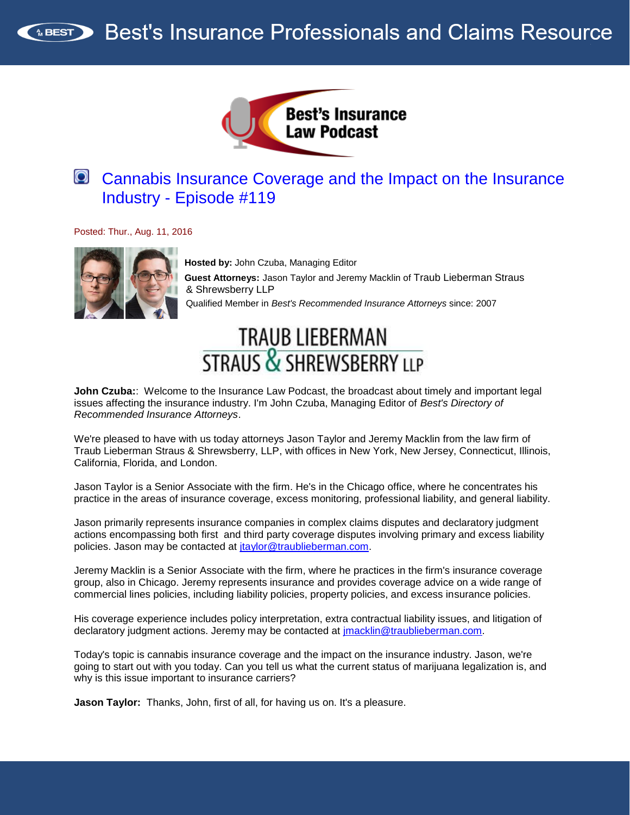



# [Cannabis Insurance Coverage and the Impact on the Insurance](http://traffic.libsyn.com/insurancelaw/Insurance_Law_Podcast_119.mp3)  Industry - [Episode #119](http://traffic.libsyn.com/insurancelaw/Insurance_Law_Podcast_119.mp3)

Posted: Thur., Aug. 11, 2016



**Hosted by:** John Czuba, Managing Editor **Guest Attorneys:** Jason Taylor and Jeremy Macklin of Traub Lieberman Straus & Shrewsberry LLP Qualified Member in *Best's Recommended Insurance Attorneys* since: 2007

# TRAUB LIEBERMAN<br>STRAUS & SHREWSBERRY LLP

**John Czuba:**: Welcome to the Insurance Law Podcast, the broadcast about timely and important legal issues affecting the insurance industry. I'm John Czuba, Managing Editor of *Best's Directory of Recommended Insurance Attorneys*.

We're pleased to have with us today attorneys Jason Taylor and Jeremy Macklin from the law firm of Traub Lieberman Straus & Shrewsberry, LLP, with offices in New York, New Jersey, Connecticut, Illinois, California, Florida, and London.

Jason Taylor is a Senior Associate with the firm. He's in the Chicago office, where he concentrates his practice in the areas of insurance coverage, excess monitoring, professional liability, and general liability.

Jason primarily represents insurance companies in complex claims disputes and declaratory judgment actions encompassing both first and third party coverage disputes involving primary and excess liability policies. Jason may be contacted at [jtaylor@traublieberman.com.](mailto:jtaylor@traublieberman.com)

Jeremy Macklin is a Senior Associate with the firm, where he practices in the firm's insurance coverage group, also in Chicago. Jeremy represents insurance and provides coverage advice on a wide range of commercial lines policies, including liability policies, property policies, and excess insurance policies.

His coverage experience includes policy interpretation, extra contractual liability issues, and litigation of declaratory judgment actions. Jeremy may be contacted at [jmacklin@traublieberman.com.](mailto:jmacklin@traublieberman.com)

Today's topic is cannabis insurance coverage and the impact on the insurance industry. Jason, we're going to start out with you today. Can you tell us what the current status of marijuana legalization is, and why is this issue important to insurance carriers?

**Jason Taylor:** Thanks, John, first of all, for having us on. It's a pleasure.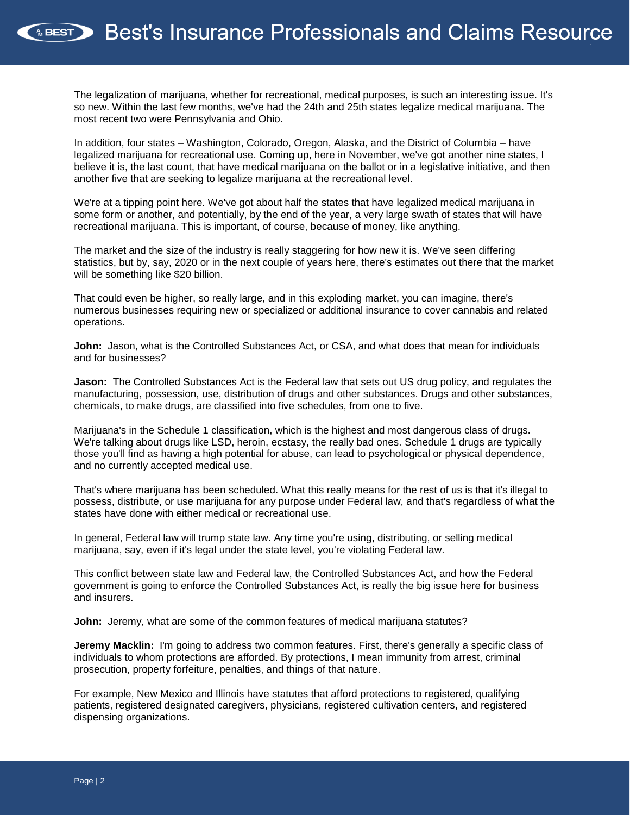The legalization of marijuana, whether for recreational, medical purposes, is such an interesting issue. It's so new. Within the last few months, we've had the 24th and 25th states legalize medical marijuana. The most recent two were Pennsylvania and Ohio.

In addition, four states – Washington, Colorado, Oregon, Alaska, and the District of Columbia – have legalized marijuana for recreational use. Coming up, here in November, we've got another nine states, I believe it is, the last count, that have medical marijuana on the ballot or in a legislative initiative, and then another five that are seeking to legalize marijuana at the recreational level.

We're at a tipping point here. We've got about half the states that have legalized medical marijuana in some form or another, and potentially, by the end of the year, a very large swath of states that will have recreational marijuana. This is important, of course, because of money, like anything.

The market and the size of the industry is really staggering for how new it is. We've seen differing statistics, but by, say, 2020 or in the next couple of years here, there's estimates out there that the market will be something like \$20 billion.

That could even be higher, so really large, and in this exploding market, you can imagine, there's numerous businesses requiring new or specialized or additional insurance to cover cannabis and related operations.

**John:** Jason, what is the Controlled Substances Act, or CSA, and what does that mean for individuals and for businesses?

**Jason:** The Controlled Substances Act is the Federal law that sets out US drug policy, and regulates the manufacturing, possession, use, distribution of drugs and other substances. Drugs and other substances, chemicals, to make drugs, are classified into five schedules, from one to five.

Marijuana's in the Schedule 1 classification, which is the highest and most dangerous class of drugs. We're talking about drugs like LSD, heroin, ecstasy, the really bad ones. Schedule 1 drugs are typically those you'll find as having a high potential for abuse, can lead to psychological or physical dependence, and no currently accepted medical use.

That's where marijuana has been scheduled. What this really means for the rest of us is that it's illegal to possess, distribute, or use marijuana for any purpose under Federal law, and that's regardless of what the states have done with either medical or recreational use.

In general, Federal law will trump state law. Any time you're using, distributing, or selling medical marijuana, say, even if it's legal under the state level, you're violating Federal law.

This conflict between state law and Federal law, the Controlled Substances Act, and how the Federal government is going to enforce the Controlled Substances Act, is really the big issue here for business and insurers.

**John:** Jeremy, what are some of the common features of medical marijuana statutes?

**Jeremy Macklin:** I'm going to address two common features. First, there's generally a specific class of individuals to whom protections are afforded. By protections, I mean immunity from arrest, criminal prosecution, property forfeiture, penalties, and things of that nature.

For example, New Mexico and Illinois have statutes that afford protections to registered, qualifying patients, registered designated caregivers, physicians, registered cultivation centers, and registered dispensing organizations.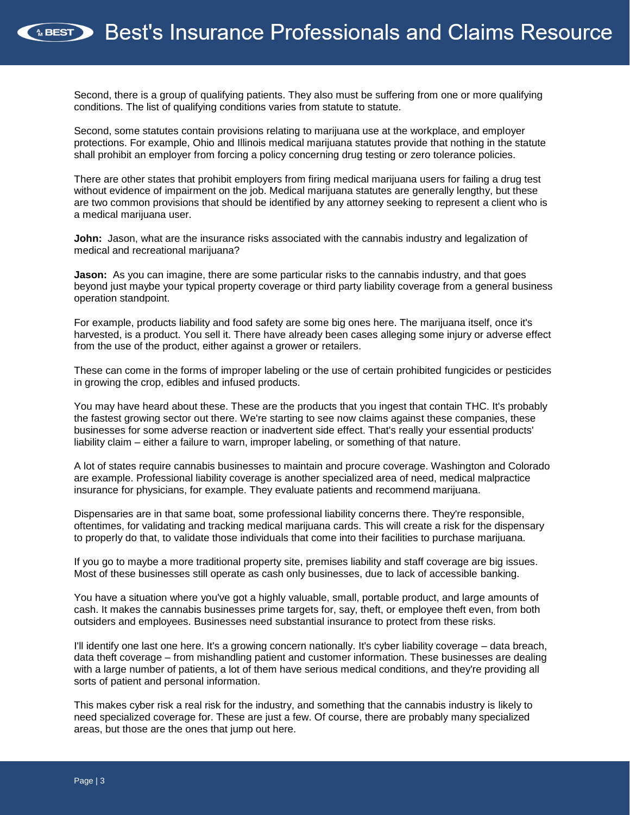Second, there is a group of qualifying patients. They also must be suffering from one or more qualifying conditions. The list of qualifying conditions varies from statute to statute.

Second, some statutes contain provisions relating to marijuana use at the workplace, and employer protections. For example, Ohio and Illinois medical marijuana statutes provide that nothing in the statute shall prohibit an employer from forcing a policy concerning drug testing or zero tolerance policies.

There are other states that prohibit employers from firing medical marijuana users for failing a drug test without evidence of impairment on the job. Medical marijuana statutes are generally lengthy, but these are two common provisions that should be identified by any attorney seeking to represent a client who is a medical marijuana user.

**John:** Jason, what are the insurance risks associated with the cannabis industry and legalization of medical and recreational marijuana?

**Jason:** As you can imagine, there are some particular risks to the cannabis industry, and that goes beyond just maybe your typical property coverage or third party liability coverage from a general business operation standpoint.

For example, products liability and food safety are some big ones here. The marijuana itself, once it's harvested, is a product. You sell it. There have already been cases alleging some injury or adverse effect from the use of the product, either against a grower or retailers.

These can come in the forms of improper labeling or the use of certain prohibited fungicides or pesticides in growing the crop, edibles and infused products.

You may have heard about these. These are the products that you ingest that contain THC. It's probably the fastest growing sector out there. We're starting to see now claims against these companies, these businesses for some adverse reaction or inadvertent side effect. That's really your essential products' liability claim – either a failure to warn, improper labeling, or something of that nature.

A lot of states require cannabis businesses to maintain and procure coverage. Washington and Colorado are example. Professional liability coverage is another specialized area of need, medical malpractice insurance for physicians, for example. They evaluate patients and recommend marijuana.

Dispensaries are in that same boat, some professional liability concerns there. They're responsible, oftentimes, for validating and tracking medical marijuana cards. This will create a risk for the dispensary to properly do that, to validate those individuals that come into their facilities to purchase marijuana.

If you go to maybe a more traditional property site, premises liability and staff coverage are big issues. Most of these businesses still operate as cash only businesses, due to lack of accessible banking.

You have a situation where you've got a highly valuable, small, portable product, and large amounts of cash. It makes the cannabis businesses prime targets for, say, theft, or employee theft even, from both outsiders and employees. Businesses need substantial insurance to protect from these risks.

I'll identify one last one here. It's a growing concern nationally. It's cyber liability coverage – data breach, data theft coverage – from mishandling patient and customer information. These businesses are dealing with a large number of patients, a lot of them have serious medical conditions, and they're providing all sorts of patient and personal information.

This makes cyber risk a real risk for the industry, and something that the cannabis industry is likely to need specialized coverage for. These are just a few. Of course, there are probably many specialized areas, but those are the ones that jump out here.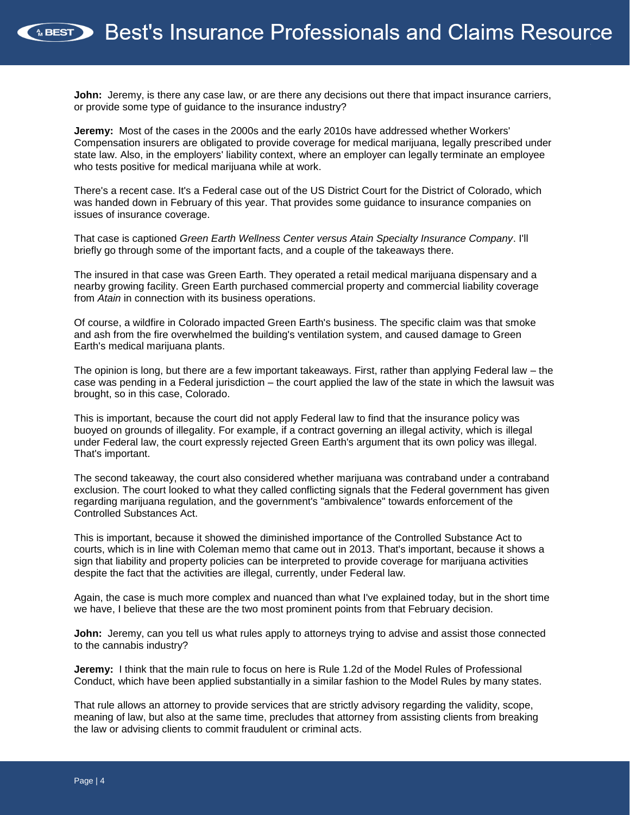**John:** Jeremy, is there any case law, or are there any decisions out there that impact insurance carriers, or provide some type of guidance to the insurance industry?

**Jeremy:** Most of the cases in the 2000s and the early 2010s have addressed whether Workers' Compensation insurers are obligated to provide coverage for medical marijuana, legally prescribed under state law. Also, in the employers' liability context, where an employer can legally terminate an employee who tests positive for medical marijuana while at work.

There's a recent case. It's a Federal case out of the US District Court for the District of Colorado, which was handed down in February of this year. That provides some guidance to insurance companies on issues of insurance coverage.

That case is captioned *Green Earth Wellness Center versus Atain Specialty Insurance Company*. I'll briefly go through some of the important facts, and a couple of the takeaways there.

The insured in that case was Green Earth. They operated a retail medical marijuana dispensary and a nearby growing facility. Green Earth purchased commercial property and commercial liability coverage from *Atain* in connection with its business operations.

Of course, a wildfire in Colorado impacted Green Earth's business. The specific claim was that smoke and ash from the fire overwhelmed the building's ventilation system, and caused damage to Green Earth's medical marijuana plants.

The opinion is long, but there are a few important takeaways. First, rather than applying Federal law – the case was pending in a Federal jurisdiction – the court applied the law of the state in which the lawsuit was brought, so in this case, Colorado.

This is important, because the court did not apply Federal law to find that the insurance policy was buoyed on grounds of illegality. For example, if a contract governing an illegal activity, which is illegal under Federal law, the court expressly rejected Green Earth's argument that its own policy was illegal. That's important.

The second takeaway, the court also considered whether marijuana was contraband under a contraband exclusion. The court looked to what they called conflicting signals that the Federal government has given regarding marijuana regulation, and the government's "ambivalence" towards enforcement of the Controlled Substances Act.

This is important, because it showed the diminished importance of the Controlled Substance Act to courts, which is in line with Coleman memo that came out in 2013. That's important, because it shows a sign that liability and property policies can be interpreted to provide coverage for marijuana activities despite the fact that the activities are illegal, currently, under Federal law.

Again, the case is much more complex and nuanced than what I've explained today, but in the short time we have, I believe that these are the two most prominent points from that February decision.

**John:** Jeremy, can you tell us what rules apply to attorneys trying to advise and assist those connected to the cannabis industry?

**Jeremy:** I think that the main rule to focus on here is Rule 1.2d of the Model Rules of Professional Conduct, which have been applied substantially in a similar fashion to the Model Rules by many states.

That rule allows an attorney to provide services that are strictly advisory regarding the validity, scope, meaning of law, but also at the same time, precludes that attorney from assisting clients from breaking the law or advising clients to commit fraudulent or criminal acts.